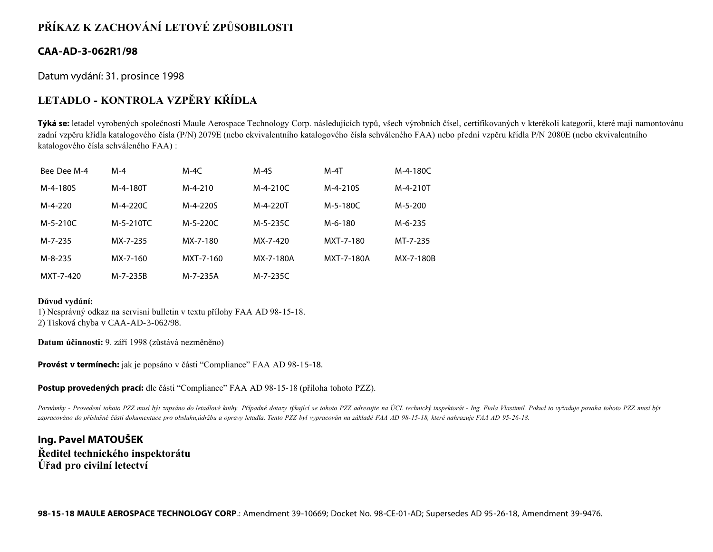# **PŘÍKAZ K ZACHOVÁNÍ LETOVÉ ZPŮSOBILOSTI**

#### **CAA-AD-3-062R1/98**

Datum vydání: 31. prosince 1998

# **LETADLO - KONTROLA VZPĚRY KŘÍDLA**

**Týká se:** letadel vyrobených společností Maule Aerospace Technology Corp. následujících typů, všech výrobních čísel, certifikovaných v kterékoli kategorii, které mají namontovánu zadní vzpěru křídla katalogového čísla (P/N) 2079E (nebo ekvivalentního katalogového čísla schváleného FAA) nebo přední vzpěru křídla P/N 2080E (nebo ekvivalentního katalogového čísla schváleného FAA) :

| Bee Dee M-4 | $M-4$     | $M-4C$    | $M-4S$    | $M-4T$     | M-4-180C  |
|-------------|-----------|-----------|-----------|------------|-----------|
| M-4-180S    | M-4-180T  | $M-4-210$ | M-4-210C  | M-4-210S   | M-4-210T  |
| M-4-220     | M-4-220C  | M-4-220S  | M-4-220T  | M-5-180C   | $M-5-200$ |
| M-5-210C    | M-5-210TC | M-5-220C  | M-5-235C  | M-6-180    | M-6-235   |
| M-7-235     | MX-7-235  | MX-7-180  | MX-7-420  | MXT-7-180  | MT-7-235  |
| M-8-235     | MX-7-160  | MXT-7-160 | MX-7-180A | MXT-7-180A | MX-7-180B |
| MXT-7-420   | M-7-235B  | M-7-235A  | M-7-235C  |            |           |

#### **Důvod vydání:**

1) Nesprávný odkaz na servisní bulletin v textu přílohy FAA AD 98-15-18. 2) Tisková chyba v CAA-AD-3-062/98.

**Datum účinnosti:** 9. září 1998 (zůstává nezměněno)

**Provést v termínech:** jak je popsáno v části "Compliance" FAA AD 98-15-18.

**Postup provedených prací:** dle části "Compliance" FAA AD 98-15-18 (příloha tohoto PZZ).

*Poznámky - Provedení tohoto PZZ musí být zapsáno do letadlové knihy. Případné dotazy týkající se tohoto PZZ adresujte na ÚCL technický inspektorát - Ing. Fiala Vlastimil. Pokud to vyžaduje povaha tohoto PZZ musí být zapracováno do příslušné části dokumentace pro obsluhu,údržbu a opravy letadla. Tento PZZ byl vypracován na základě FAA AD 98-15-18, které nahrazuje FAA AD 95-26-18.*

**Ing. Pavel MATOUŠEK Ředitel technického inspektorátu Úřad pro civilní letectví**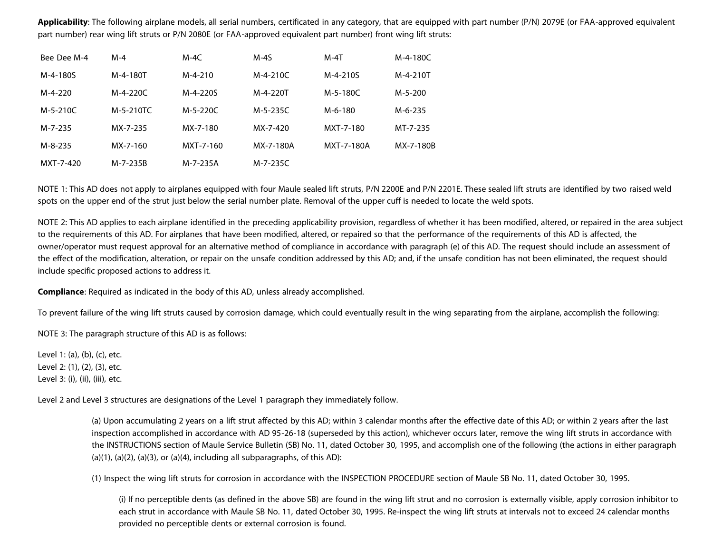**Applicability**: The following airplane models, all serial numbers, certificated in any category, that are equipped with part number (P/N) 2079E (or FAA-approved equivalent part number) rear wing lift struts or P/N 2080E (or FAA-approved equivalent part number) front wing lift struts:

| Bee Dee M-4   | $M - 4$   | $M-4C$    | $M-4S$    | $M-4T$     | M-4-180C  |
|---------------|-----------|-----------|-----------|------------|-----------|
| M-4-180S      | M-4-180T  | $M-4-210$ | M-4-210C  | M-4-210S   | M-4-210T  |
| M-4-220       | M-4-220C  | M-4-220S  | M-4-220T  | M-5-180C   | $M-5-200$ |
| $M-5-210C$    | M-5-210TC | M-5-220C  | M-5-235C  | M-6-180    | M-6-235   |
| M-7-235       | MX-7-235  | MX-7-180  | MX-7-420  | MXT-7-180  | MT-7-235  |
| $M - 8 - 235$ | MX-7-160  | MXT-7-160 | MX-7-180A | MXT-7-180A | MX-7-180B |
| MXT-7-420     | M-7-235B  | M-7-235A  | M-7-235C  |            |           |

NOTE 1: This AD does not apply to airplanes equipped with four Maule sealed lift struts, P/N 2200E and P/N 2201E. These sealed lift struts are identified by two raised weld spots on the upper end of the strut just below the serial number plate. Removal of the upper cuff is needed to locate the weld spots.

NOTE 2: This AD applies to each airplane identified in the preceding applicability provision, regardless of whether it has been modified, altered, or repaired in the area subject to the requirements of this AD. For airplanes that have been modified, altered, or repaired so that the performance of the requirements of this AD is affected, the owner/operator must request approval for an alternative method of compliance in accordance with paragraph (e) of this AD. The request should include an assessment of the effect of the modification, alteration, or repair on the unsafe condition addressed by this AD; and, if the unsafe condition has not been eliminated, the request should include specific proposed actions to address it.

**Compliance**: Required as indicated in the body of this AD, unless already accomplished.

To prevent failure of the wing lift struts caused by corrosion damage, which could eventually result in the wing separating from the airplane, accomplish the following:

NOTE 3: The paragraph structure of this AD is as follows:

Level 1: (a), (b), (c), etc. Level 2: (1), (2), (3), etc. Level 3: (i), (ii), (iii), etc.

Level 2 and Level 3 structures are designations of the Level 1 paragraph they immediately follow.

(a) Upon accumulating 2 years on a lift strut affected by this AD; within 3 calendar months after the effective date of this AD; or within 2 years after the last inspection accomplished in accordance with AD 95-26-18 (superseded by this action), whichever occurs later, remove the wing lift struts in accordance with the INSTRUCTIONS section of Maule Service Bulletin (SB) No. 11, dated October 30, 1995, and accomplish one of the following (the actions in either paragraph  $(a)(1)$ ,  $(a)(2)$ ,  $(a)(3)$ , or  $(a)(4)$ , including all subparagraphs, of this AD):

(1) Inspect the wing lift struts for corrosion in accordance with the INSPECTION PROCEDURE section of Maule SB No. 11, dated October 30, 1995.

(i) If no perceptible dents (as defined in the above SB) are found in the wing lift strut and no corrosion is externally visible, apply corrosion inhibitor to each strut in accordance with Maule SB No. 11, dated October 30, 1995. Re-inspect the wing lift struts at intervals not to exceed 24 calendar months provided no perceptible dents or external corrosion is found.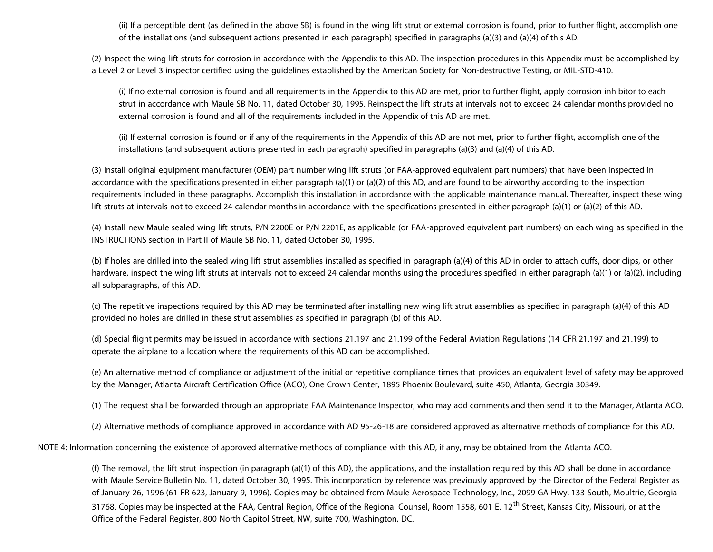(ii) If a perceptible dent (as defined in the above SB) is found in the wing lift strut or external corrosion is found, prior to further flight, accomplish one of the installations (and subsequent actions presented in each paragraph) specified in paragraphs (a)(3) and (a)(4) of this AD.

(2) Inspect the wing lift struts for corrosion in accordance with the Appendix to this AD. The inspection procedures in this Appendix must be accomplished by a Level 2 or Level 3 inspector certified using the guidelines established by the American Society for Non-destructive Testing, or MIL-STD-410.

(i) If no external corrosion is found and all requirements in the Appendix to this AD are met, prior to further flight, apply corrosion inhibitor to each strut in accordance with Maule SB No. 11, dated October 30, 1995. Reinspect the lift struts at intervals not to exceed 24 calendar months provided no external corrosion is found and all of the requirements included in the Appendix of this AD are met.

(ii) If external corrosion is found or if any of the requirements in the Appendix of this AD are not met, prior to further flight, accomplish one of the installations (and subsequent actions presented in each paragraph) specified in paragraphs (a)(3) and (a)(4) of this AD.

(3) Install original equipment manufacturer (OEM) part number wing lift struts (or FAA-approved equivalent part numbers) that have been inspected in accordance with the specifications presented in either paragraph (a)(1) or (a)(2) of this AD, and are found to be airworthy according to the inspection requirements included in these paragraphs. Accomplish this installation in accordance with the applicable maintenance manual. Thereafter, inspect these wing lift struts at intervals not to exceed 24 calendar months in accordance with the specifications presented in either paragraph (a)(1) or (a)(2) of this AD.

(4) Install new Maule sealed wing lift struts, P/N 2200E or P/N 2201E, as applicable (or FAA-approved equivalent part numbers) on each wing as specified in the INSTRUCTIONS section in Part II of Maule SB No. 11, dated October 30, 1995.

(b) If holes are drilled into the sealed wing lift strut assemblies installed as specified in paragraph (a)(4) of this AD in order to attach cuffs, door clips, or other hardware, inspect the wing lift struts at intervals not to exceed 24 calendar months using the procedures specified in either paragraph (a)(1) or (a)(2), including all subparagraphs, of this AD.

(c) The repetitive inspections required by this AD may be terminated after installing new wing lift strut assemblies as specified in paragraph (a)(4) of this AD provided no holes are drilled in these strut assemblies as specified in paragraph (b) of this AD.

(d) Special flight permits may be issued in accordance with sections 21.197 and 21.199 of the Federal Aviation Regulations (14 CFR 21.197 and 21.199) to operate the airplane to a location where the requirements of this AD can be accomplished.

(e) An alternative method of compliance or adjustment of the initial or repetitive compliance times that provides an equivalent level of safety may be approved by the Manager, Atlanta Aircraft Certification Office (ACO), One Crown Center, 1895 Phoenix Boulevard, suite 450, Atlanta, Georgia 30349.

(1) The request shall be forwarded through an appropriate FAA Maintenance Inspector, who may add comments and then send it to the Manager, Atlanta ACO.

(2) Alternative methods of compliance approved in accordance with AD 95-26-18 are considered approved as alternative methods of compliance for this AD.

NOTE 4: Information concerning the existence of approved alternative methods of compliance with this AD, if any, may be obtained from the Atlanta ACO.

(f) The removal, the lift strut inspection (in paragraph (a)(1) of this AD), the applications, and the installation required by this AD shall be done in accordance with Maule Service Bulletin No. 11, dated October 30, 1995. This incorporation by reference was previously approved by the Director of the Federal Register as of January 26, 1996 (61 FR 623, January 9, 1996). Copies may be obtained from Maule Aerospace Technology, Inc., 2099 GA Hwy. 133 South, Moultrie, Georgia 31768. Copies may be inspected at the FAA, Central Region, Office of the Regional Counsel, Room 1558, 601 E. 12<sup>th</sup> Street, Kansas City, Missouri, or at the Office of the Federal Register, 800 North Capitol Street, NW, suite 700, Washington, DC.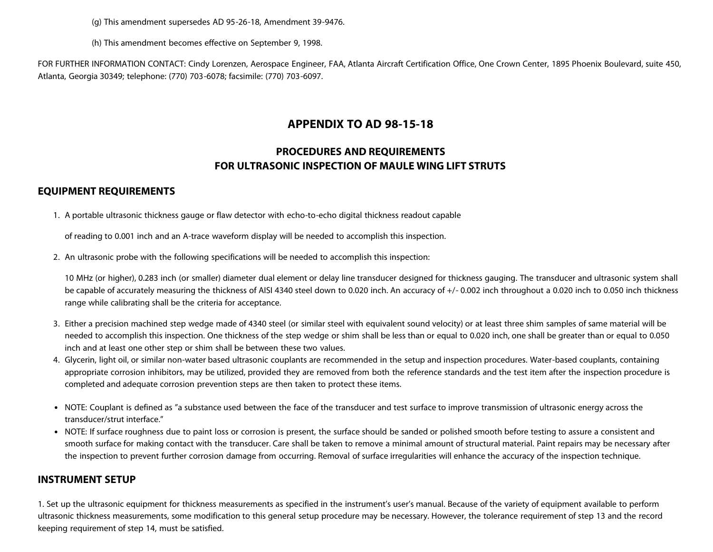(g) This amendment supersedes AD 95-26-18, Amendment 39-9476.

(h) This amendment becomes effective on September 9, 1998.

FOR FURTHER INFORMATION CONTACT: Cindy Lorenzen, Aerospace Engineer, FAA, Atlanta Aircraft Certification Office, One Crown Center, 1895 Phoenix Boulevard, suite 450, Atlanta, Georgia 30349; telephone: (770) 703-6078; facsimile: (770) 703-6097.

## **APPENDIX TO AD 98-15-18**

## **PROCEDURES AND REQUIREMENTS FOR ULTRASONIC INSPECTION OF MAULE WING LIFT STRUTS**

#### **EQUIPMENT REQUIREMENTS**

1. A portable ultrasonic thickness gauge or flaw detector with echo-to-echo digital thickness readout capable

of reading to 0.001 inch and an A-trace waveform display will be needed to accomplish this inspection.

2. An ultrasonic probe with the following specifications will be needed to accomplish this inspection:

10 MHz (or higher), 0.283 inch (or smaller) diameter dual element or delay line transducer designed for thickness gauging. The transducer and ultrasonic system shall be capable of accurately measuring the thickness of AISI 4340 steel down to 0.020 inch. An accuracy of  $+/-$  0.002 inch throughout a 0.020 inch to 0.050 inch thickness range while calibrating shall be the criteria for acceptance.

- 3. Either a precision machined step wedge made of 4340 steel (or similar steel with equivalent sound velocity) or at least three shim samples of same material will be needed to accomplish this inspection. One thickness of the step wedge or shim shall be less than or equal to 0.020 inch, one shall be greater than or equal to 0.050 inch and at least one other step or shim shall be between these two values.
- 4. Glycerin, light oil, or similar non-water based ultrasonic couplants are recommended in the setup and inspection procedures. Water-based couplants, containing appropriate corrosion inhibitors, may be utilized, provided they are removed from both the reference standards and the test item after the inspection procedure is completed and adequate corrosion prevention steps are then taken to protect these items.
- NOTE: Couplant is defined as "a substance used between the face of the transducer and test surface to improve transmission of ultrasonic energy across the transducer/strut interface."
- NOTE: If surface roughness due to paint loss or corrosion is present, the surface should be sanded or polished smooth before testing to assure a consistent and smooth surface for making contact with the transducer. Care shall be taken to remove a minimal amount of structural material. Paint repairs may be necessary after the inspection to prevent further corrosion damage from occurring. Removal of surface irregularities will enhance the accuracy of the inspection technique.

### **INSTRUMENT SETUP**

1. Set up the ultrasonic equipment for thickness measurements as specified in the instrument's user's manual. Because of the variety of equipment available to perform ultrasonic thickness measurements, some modification to this general setup procedure may be necessary. However, the tolerance requirement of step 13 and the record keeping requirement of step 14, must be satisfied.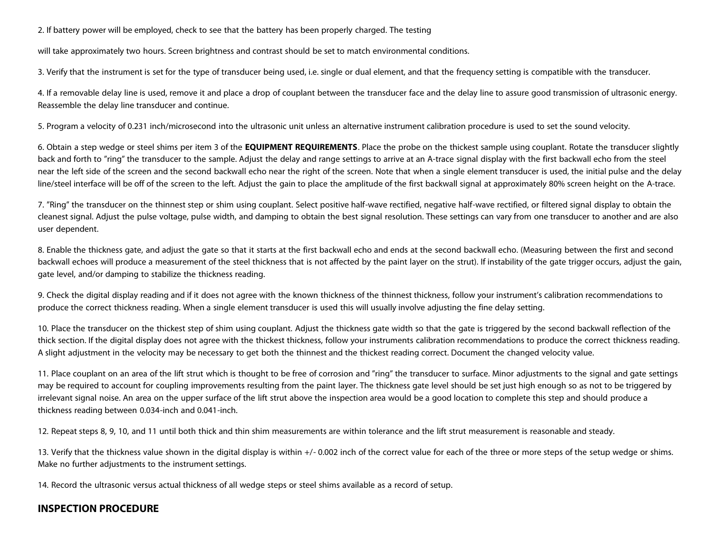2. If battery power will be employed, check to see that the battery has been properly charged. The testing

will take approximately two hours. Screen brightness and contrast should be set to match environmental conditions.

3. Verify that the instrument is set for the type of transducer being used, i.e. single or dual element, and that the frequency setting is compatible with the transducer.

4. If a removable delay line is used, remove it and place a drop of couplant between the transducer face and the delay line to assure good transmission of ultrasonic energy. Reassemble the delay line transducer and continue.

5. Program a velocity of 0.231 inch/microsecond into the ultrasonic unit unless an alternative instrument calibration procedure is used to set the sound velocity.

6. Obtain a step wedge or steel shims per item 3 of the **EQUIPMENT REQUIREMENTS**. Place the probe on the thickest sample using couplant. Rotate the transducer slightly back and forth to "ring" the transducer to the sample. Adjust the delay and range settings to arrive at an A-trace signal display with the first backwall echo from the steel near the left side of the screen and the second backwall echo near the right of the screen. Note that when a single element transducer is used, the initial pulse and the delay line/steel interface will be off of the screen to the left. Adjust the gain to place the amplitude of the first backwall signal at approximately 80% screen height on the A-trace.

7. "Ring" the transducer on the thinnest step or shim using couplant. Select positive half-wave rectified, negative half-wave rectified, or filtered signal display to obtain the cleanest signal. Adjust the pulse voltage, pulse width, and damping to obtain the best signal resolution. These settings can vary from one transducer to another and are also user dependent.

8. Enable the thickness gate, and adjust the gate so that it starts at the first backwall echo and ends at the second backwall echo. (Measuring between the first and second backwall echoes will produce a measurement of the steel thickness that is not affected by the paint layer on the strut). If instability of the gate trigger occurs, adjust the gain, gate level, and/or damping to stabilize the thickness reading.

9. Check the digital display reading and if it does not agree with the known thickness of the thinnest thickness, follow your instrument's calibration recommendations to produce the correct thickness reading. When a single element transducer is used this will usually involve adjusting the fine delay setting.

10. Place the transducer on the thickest step of shim using couplant. Adjust the thickness gate width so that the gate is triggered by the second backwall reflection of the thick section. If the digital display does not agree with the thickest thickness, follow your instruments calibration recommendations to produce the correct thickness reading. A slight adjustment in the velocity may be necessary to get both the thinnest and the thickest reading correct. Document the changed velocity value.

11. Place couplant on an area of the lift strut which is thought to be free of corrosion and "ring" the transducer to surface. Minor adjustments to the signal and gate settings may be required to account for coupling improvements resulting from the paint layer. The thickness gate level should be set just high enough so as not to be triggered by irrelevant signal noise. An area on the upper surface of the lift strut above the inspection area would be a good location to complete this step and should produce a thickness reading between 0.034-inch and 0.041-inch.

12. Repeat steps 8, 9, 10, and 11 until both thick and thin shim measurements are within tolerance and the lift strut measurement is reasonable and steady.

13. Verify that the thickness value shown in the digital display is within +/-0.002 inch of the correct value for each of the three or more steps of the setup wedge or shims. Make no further adjustments to the instrument settings.

14. Record the ultrasonic versus actual thickness of all wedge steps or steel shims available as a record of setup.

## **INSPECTION PROCEDURE**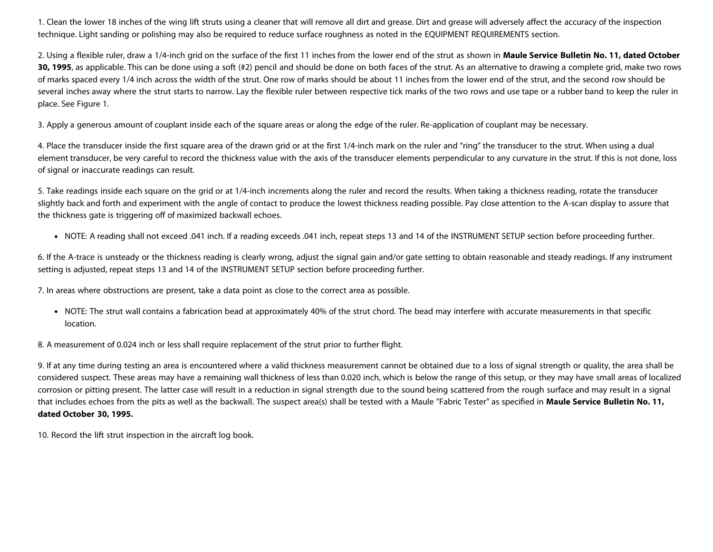1. Clean the lower 18 inches of the wing lift struts using a cleaner that will remove all dirt and grease. Dirt and grease will adversely affect the accuracy of the inspection technique. Light sanding or polishing may also be required to reduce surface roughness as noted in the EQUIPMENT REQUIREMENTS section.

2. Using a flexible ruler, draw a 1/4-inch grid on the surface of the first 11 inches from the lower end of the strut as shown in **Maule Service Bulletin No. 11, dated October 30, 1995**, as applicable. This can be done using a soft (#2) pencil and should be done on both faces of the strut. As an alternative to drawing a complete grid, make two rows of marks spaced every 1/4 inch across the width of the strut. One row of marks should be about 11 inches from the lower end of the strut, and the second row should be several inches away where the strut starts to narrow. Lay the flexible ruler between respective tick marks of the two rows and use tape or a rubber band to keep the ruler in place. See Figure 1.

3. Apply a generous amount of couplant inside each of the square areas or along the edge of the ruler. Re-application of couplant may be necessary.

4. Place the transducer inside the first square area of the drawn grid or at the first 1/4-inch mark on the ruler and "ring" the transducer to the strut. When using a dual element transducer, be very careful to record the thickness value with the axis of the transducer elements perpendicular to any curvature in the strut. If this is not done, loss of signal or inaccurate readings can result.

5. Take readings inside each square on the grid or at 1/4-inch increments along the ruler and record the results. When taking a thickness reading, rotate the transducer slightly back and forth and experiment with the angle of contact to produce the lowest thickness reading possible. Pay close attention to the A-scan display to assure that the thickness gate is triggering off of maximized backwall echoes.

.NOTE: A reading shall not exceed .041 inch. If a reading exceeds .041 inch, repeat steps 13 and 14 of the INSTRUMENT SETUP section before proceeding further.

6. If the A-trace is unsteady or the thickness reading is clearly wrong, adjust the signal gain and/or gate setting to obtain reasonable and steady readings. If any instrument setting is adjusted, repeat steps 13 and 14 of the INSTRUMENT SETUP section before proceeding further.

7. In areas where obstructions are present, take a data point as close to the correct area as possible.

NOTE: The strut wall contains a fabrication bead at approximately 40% of the strut chord. The bead may interfere with accurate measurements in that specific location.

8. A measurement of 0.024 inch or less shall require replacement of the strut prior to further flight.

9. If at any time during testing an area is encountered where a valid thickness measurement cannot be obtained due to a loss of signal strength or quality, the area shall be considered suspect. These areas may have a remaining wall thickness of less than 0.020 inch, which is below the range of this setup, or they may have small areas of localized corrosion or pitting present. The latter case will result in a reduction in signal strength due to the sound being scattered from the rough surface and may result in a signal that includes echoes from the pits as well as the backwall. The suspect area(s) shall be tested with a Maule "Fabric Tester" as specified in **Maule Service Bulletin No. 11, dated October 30, 1995.**

10. Record the lift strut inspection in the aircraft log book.